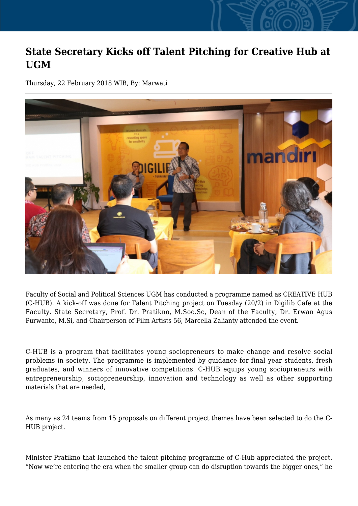## **State Secretary Kicks off Talent Pitching for Creative Hub at UGM**

Thursday, 22 February 2018 WIB, By: Marwati



Faculty of Social and Political Sciences UGM has conducted a programme named as CREATIVE HUB (C-HUB). A kick-off was done for Talent Pitching project on Tuesday (20/2) in Digilib Cafe at the Faculty. State Secretary, Prof. Dr. Pratikno, M.Soc.Sc, Dean of the Faculty, Dr. Erwan Agus Purwanto, M.Si, and Chairperson of Film Artists 56, Marcella Zalianty attended the event.

C-HUB is a program that facilitates young sociopreneurs to make change and resolve social problems in society. The programme is implemented by guidance for final year students, fresh graduates, and winners of innovative competitions. C-HUB equips young sociopreneurs with entrepreneurship, sociopreneurship, innovation and technology as well as other supporting materials that are needed,

As many as 24 teams from 15 proposals on different project themes have been selected to do the C-HUB project.

Minister Pratikno that launched the talent pitching programme of C-Hub appreciated the project. "Now we're entering the era when the smaller group can do disruption towards the bigger ones," he